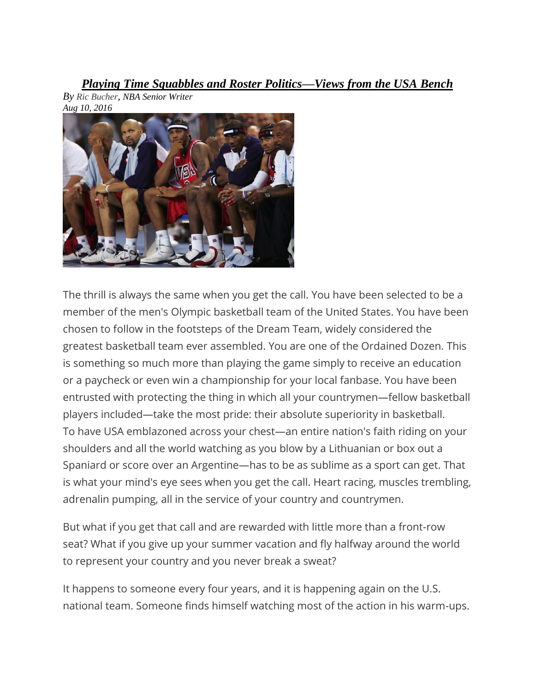*Playing Time Squabbles and Roster Politics—Views from the USA Bench*



*By Ric [Bucher](http://bleacherreport.com/users/3199091-ric-bucher), NBA Senior Writer*

The thrill is always the same when you get the call. You have been selected to be a member of the men's Olympic basketball team of the United States. You have been chosen to follow in the footsteps of the Dream Team, widely considered the greatest basketball team ever assembled. You are one of the Ordained Dozen. This is something so much more than playing the game simply to receive an education or a paycheck or even win a championship for your local fanbase. You have been entrusted with protecting the thing in which all your countrymen—fellow basketball players included—take the most pride: their absolute superiority in basketball. To have USA emblazoned across your chest—an entire nation's faith riding on your shoulders and all the world watching as you blow by a Lithuanian or box out a Spaniard or score over an Argentine—has to be as sublime as a sport can get. That is what your mind's eye sees when you get the call. Heart racing, muscles trembling, adrenalin pumping, all in the service of your country and countrymen.

But what if you get that call and are rewarded with little more than a front-row seat? What if you give up your summer vacation and fly halfway around the world to represent your country and you never break a sweat?

It happens to someone every four years, and it is happening again on the U.S. national team. Someone finds himself watching most of the action in his warm-ups.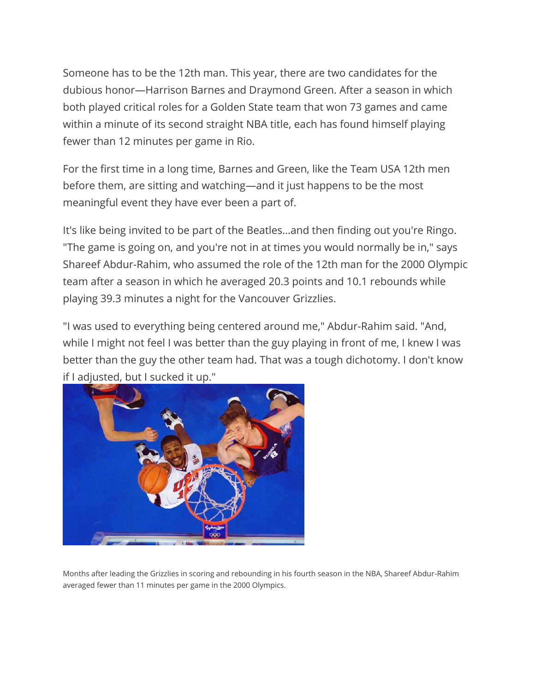Someone has to be the 12th man. This year, there are two candidates for the dubious honor—Harrison Barnes and Draymond Green. After a season in which both played critical roles for a Golden State team that won 73 games and came within a minute of its second straight NBA title, each has found himself playing fewer than 12 minutes per game in Rio.

For the first time in a long time, Barnes and Green, like the Team USA 12th men before them, are sitting and watching—and it just happens to be the most meaningful event they have ever been a part of.

It's like being invited to be part of the Beatles…and then finding out you're Ringo. "The game is going on, and you're not in at times you would normally be in," says Shareef Abdur-Rahim, who assumed the role of the 12th man for the 2000 Olympic team after a season in which he averaged 20.3 points and 10.1 rebounds while playing 39.3 minutes a night for the Vancouver Grizzlies.

"I was used to everything being centered around me," Abdur-Rahim said. "And, while I might not feel I was better than the guy playing in front of me, I knew I was better than the guy the other team had. That was a tough dichotomy. I don't know if I adjusted, but I sucked it up."



Months after leading the Grizzlies in scoring and rebounding in his fourth season in the NBA, Shareef Abdur-Rahim averaged fewer than 11 minutes per game in the 2000 Olympics.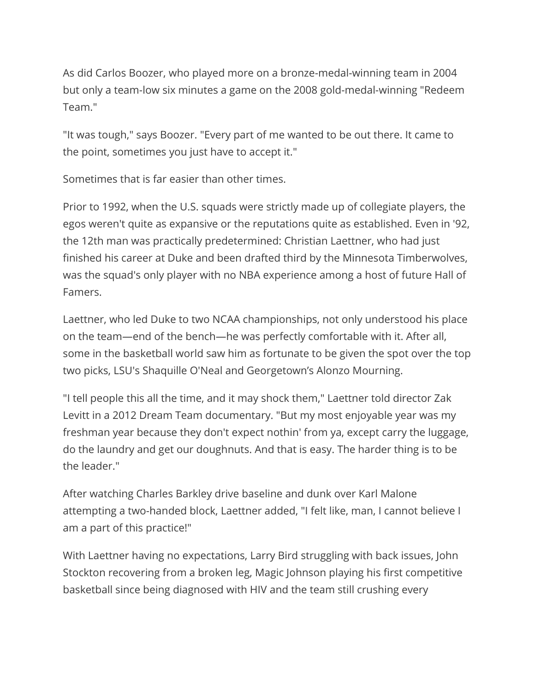As did Carlos Boozer, who played more on a bronze-medal-winning team in 2004 but only a team-low six minutes a game on the 2008 gold-medal-winning "Redeem Team."

"It was tough," says Boozer. "Every part of me wanted to be out there. It came to the point, sometimes you just have to accept it."

Sometimes that is far easier than other times.

Prior to 1992, when the U.S. squads were strictly made up of collegiate players, the egos weren't quite as expansive or the reputations quite as established. Even in '92, the 12th man was practically predetermined: Christian Laettner, who had just finished his career at Duke and been drafted third by the Minnesota Timberwolves, was the squad's only player with no NBA experience among a host of future Hall of Famers.

Laettner, who led Duke to two NCAA championships, not only understood his place on the team—end of the bench—he was perfectly comfortable with it. After all, some in the basketball world saw him as fortunate to be given the spot over the top two picks, LSU's Shaquille O'Neal and Georgetown's Alonzo Mourning.

"I tell people this all the time, and it may shock them," Laettner told director Zak Levitt in a 2012 Dream Team documentary. "But my most enjoyable year was my freshman year because they don't expect nothin' from ya, except carry the luggage, do the laundry and get our doughnuts. And that is easy. The harder thing is to be the leader."

After watching Charles Barkley drive baseline and dunk over Karl Malone attempting a two-handed block, Laettner added, "I felt like, man, I cannot believe I am a part of this practice!"

With Laettner having no expectations, Larry Bird struggling with back issues, John Stockton recovering from a broken leg, Magic Johnson playing his first competitive basketball since being diagnosed with HIV and the team still crushing every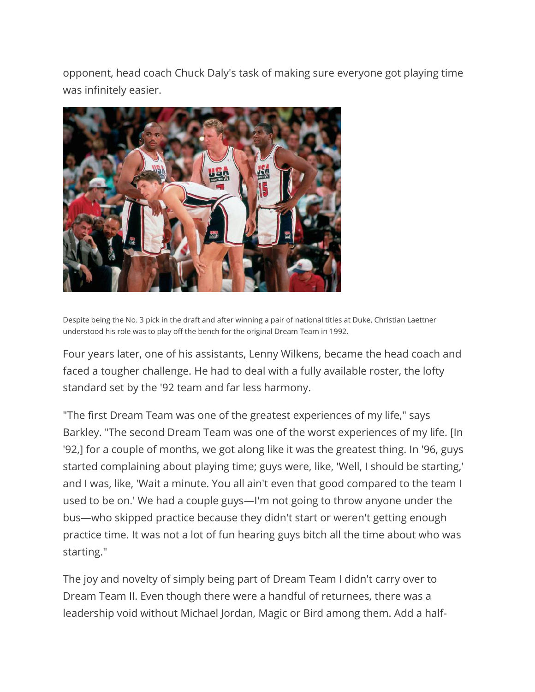opponent, head coach Chuck Daly's task of making sure everyone got playing time was infinitely easier.



Despite being the No. 3 pick in the draft and after winning a pair of national titles at Duke, Christian Laettner understood his role was to play off the bench for the original Dream Team in 1992.

Four years later, one of his assistants, Lenny Wilkens, became the head coach and faced a tougher challenge. He had to deal with a fully available roster, the lofty standard set by the '92 team and far less harmony.

"The first Dream Team was one of the greatest experiences of my life," says Barkley. "The second Dream Team was one of the worst experiences of my life. [In '92,] for a couple of months, we got along like it was the greatest thing. In '96, guys started complaining about playing time; guys were, like, 'Well, I should be starting,' and I was, like, 'Wait a minute. You all ain't even that good compared to the team I used to be on.' We had a couple guys—I'm not going to throw anyone under the bus—who skipped practice because they didn't start or weren't getting enough practice time. It was not a lot of fun hearing guys bitch all the time about who was starting."

The joy and novelty of simply being part of Dream Team I didn't carry over to Dream Team II. Even though there were a handful of returnees, there was a leadership void without Michael Jordan, Magic or Bird among them. Add a half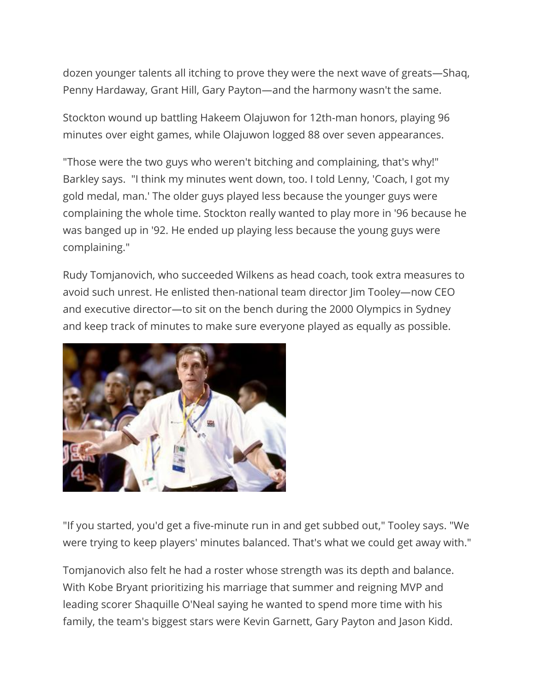dozen younger talents all itching to prove they were the next wave of greats—Shaq, Penny Hardaway, Grant Hill, Gary Payton—and the harmony wasn't the same.

Stockton wound up battling Hakeem Olajuwon for 12th-man honors, playing 96 minutes over eight games, while Olajuwon logged 88 over seven appearances.

"Those were the two guys who weren't bitching and complaining, that's why!" Barkley says. "I think my minutes went down, too. I told Lenny, 'Coach, I got my gold medal, man.' The older guys played less because the younger guys were complaining the whole time. Stockton really wanted to play more in '96 because he was banged up in '92. He ended up playing less because the young guys were complaining."

Rudy Tomjanovich, who succeeded Wilkens as head coach, took extra measures to avoid such unrest. He enlisted then-national team director Jim Tooley—now CEO and executive director—to sit on the bench during the 2000 Olympics in Sydney and keep track of minutes to make sure everyone played as equally as possible.



"If you started, you'd get a five-minute run in and get subbed out," Tooley says. "We were trying to keep players' minutes balanced. That's what we could get away with."

Tomjanovich also felt he had a roster whose strength was its depth and balance. With Kobe Bryant prioritizing his marriage that summer and reigning MVP and leading scorer Shaquille O'Neal saying he wanted to spend more time with his family, the team's biggest stars were Kevin Garnett, Gary Payton and Jason Kidd.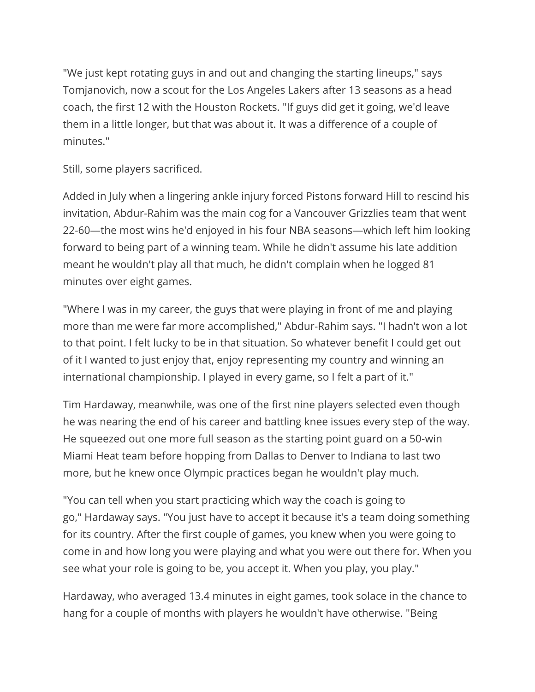"We just kept rotating guys in and out and changing the starting lineups," says Tomjanovich, now a scout for the Los Angeles Lakers after 13 seasons as a head coach, the first 12 with the Houston Rockets. "If guys did get it going, we'd leave them in a little longer, but that was about it. It was a difference of a couple of minutes."

Still, some players sacrificed.

Added in July when a lingering ankle injury forced Pistons forward Hill to rescind his invitation, Abdur-Rahim was the main cog for a Vancouver Grizzlies team that went 22-60—the most wins he'd enjoyed in his four NBA seasons—which left him looking forward to being part of a winning team. While he didn't assume his late addition meant he wouldn't play all that much, he didn't complain when he logged 81 minutes over eight games.

"Where I was in my career, the guys that were playing in front of me and playing more than me were far more accomplished," Abdur-Rahim says. "I hadn't won a lot to that point. I felt lucky to be in that situation. So whatever benefit I could get out of it I wanted to just enjoy that, enjoy representing my country and winning an international championship. I played in every game, so I felt a part of it."

Tim Hardaway, meanwhile, was one of the first nine players selected even though he was nearing the end of his career and battling knee issues every step of the way. He squeezed out one more full season as the starting point guard on a 50-win Miami Heat team before hopping from Dallas to Denver to Indiana to last two more, but he knew once Olympic practices began he wouldn't play much.

"You can tell when you start practicing which way the coach is going to go," Hardaway says. "You just have to accept it because it's a team doing something for its country. After the first couple of games, you knew when you were going to come in and how long you were playing and what you were out there for. When you see what your role is going to be, you accept it. When you play, you play."

Hardaway, who averaged 13.4 minutes in eight games, took solace in the chance to hang for a couple of months with players he wouldn't have otherwise. "Being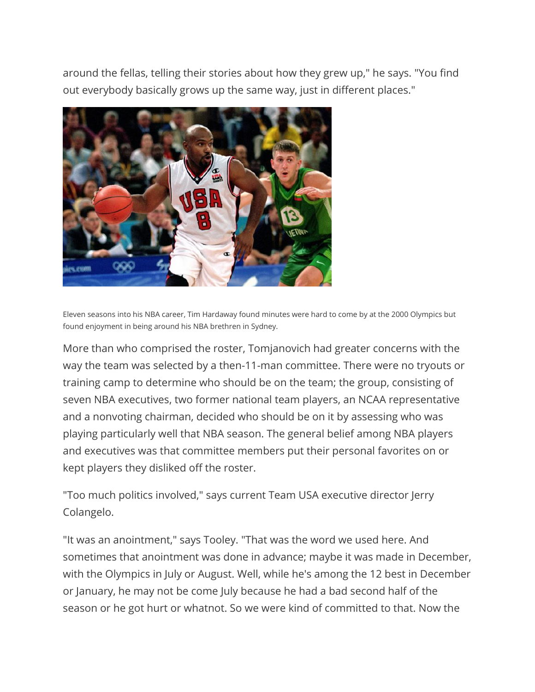around the fellas, telling their stories about how they grew up," he says. "You find out everybody basically grows up the same way, just in different places."



Eleven seasons into his NBA career, Tim Hardaway found minutes were hard to come by at the 2000 Olympics but found enjoyment in being around his NBA brethren in Sydney.

More than who comprised the roster, Tomjanovich had greater concerns with the way the team was selected by a then-11-man committee. There were no tryouts or training camp to determine who should be on the team; the group, consisting of seven NBA executives, two former national team players, an NCAA representative and a nonvoting chairman, decided who should be on it by assessing who was playing particularly well that NBA season. The general belief among NBA players and executives was that committee members put their personal favorites on or kept players they disliked off the roster.

"Too much politics involved," says current Team USA executive director Jerry Colangelo.

"It was an anointment," says Tooley. "That was the word we used here. And sometimes that anointment was done in advance; maybe it was made in December, with the Olympics in July or August. Well, while he's among the 12 best in December or January, he may not be come July because he had a bad second half of the season or he got hurt or whatnot. So we were kind of committed to that. Now the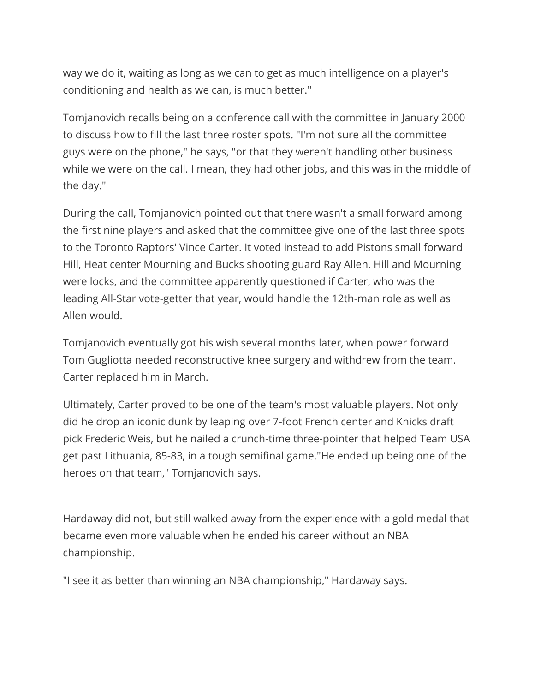way we do it, waiting as long as we can to get as much intelligence on a player's conditioning and health as we can, is much better."

Tomjanovich recalls being on a conference call with the committee in January 2000 to discuss how to fill the last three roster spots. "I'm not sure all the committee guys were on the phone," he says, "or that they weren't handling other business while we were on the call. I mean, they had other jobs, and this was in the middle of the day."

During the call, Tomjanovich pointed out that there wasn't a small forward among the first nine players and asked that the committee give one of the last three spots to the Toronto Raptors' Vince Carter. It voted instead to add Pistons small forward Hill, Heat center Mourning and Bucks shooting guard Ray Allen. Hill and Mourning were locks, and the committee apparently questioned if Carter, who was the leading All-Star vote-getter that year, would handle the 12th-man role as well as Allen would.

Tomjanovich eventually got his wish several months later, when power forward Tom Gugliotta needed reconstructive knee surgery and withdrew from the team. Carter replaced him in March.

Ultimately, Carter proved to be one of the team's most valuable players. Not only did he drop an iconic dunk by leaping over 7-foot French center and Knicks draft pick Frederic Weis, but he nailed a crunch-time three-pointer that helped Team USA get past Lithuania, 85-83, in a tough semifinal game."He ended up being one of the heroes on that team," Tomjanovich says.

Hardaway did not, but still walked away from the experience with a gold medal that became even more valuable when he ended his career without an NBA championship.

"I see it as better than winning an NBA championship," Hardaway says.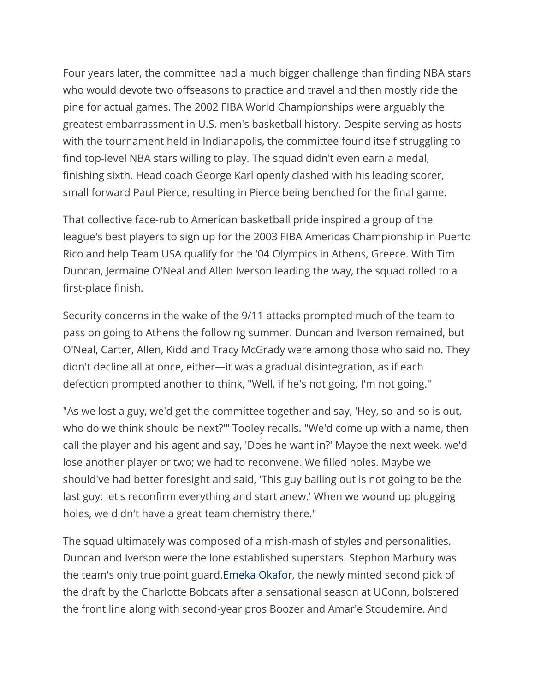Four years later, the committee had a much bigger challenge than finding NBA stars who would devote two offseasons to practice and travel and then mostly ride the pine for actual games. The 2002 FIBA World Championships were arguably the greatest embarrassment in U.S. men's basketball history. Despite serving as hosts with the tournament held in Indianapolis, the committee found itself struggling to find top-level NBA stars willing to play. The squad didn't even earn a medal, finishing sixth. Head coach George Karl openly clashed with his leading scorer, small forward Paul Pierce, resulting in Pierce being benched for the final game.

That collective face-rub to American basketball pride inspired a group of the league's best players to sign up for the 2003 FIBA Americas Championship in Puerto Rico and help Team USA qualify for the '04 Olympics in Athens, Greece. With Tim Duncan, Jermaine O'Neal and Allen Iverson leading the way, the squad rolled to a first-place finish.

Security concerns in the wake of the 9/11 attacks prompted much of the team to pass on going to Athens the following summer. Duncan and Iverson remained, but O'Neal, Carter, Allen, Kidd and Tracy McGrady were among those who said no. They didn't decline all at once, either—it was a gradual disintegration, as if each defection prompted another to think, "Well, if he's not going, I'm not going."

"As we lost a guy, we'd get the committee together and say, 'Hey, so-and-so is out, who do we think should be next?'" Tooley recalls. "We'd come up with a name, then call the player and his agent and say, 'Does he want in?' Maybe the next week, we'd lose another player or two; we had to reconvene. We filled holes. Maybe we should've had better foresight and said, 'This guy bailing out is not going to be the last guy; let's reconfirm everything and start anew.' When we wound up plugging holes, we didn't have a great team chemistry there."

The squad ultimately was composed of a mish-mash of styles and personalities. Duncan and Iverson were the lone established superstars. Stephon Marbury was the team's only true point guard.Emeka [Okafor,](http://bleacherreport.com/emeka-okafor) the newly minted second pick of the draft by the Charlotte Bobcats after a sensational season at UConn, bolstered the front line along with second-year pros Boozer and Amar'e Stoudemire. And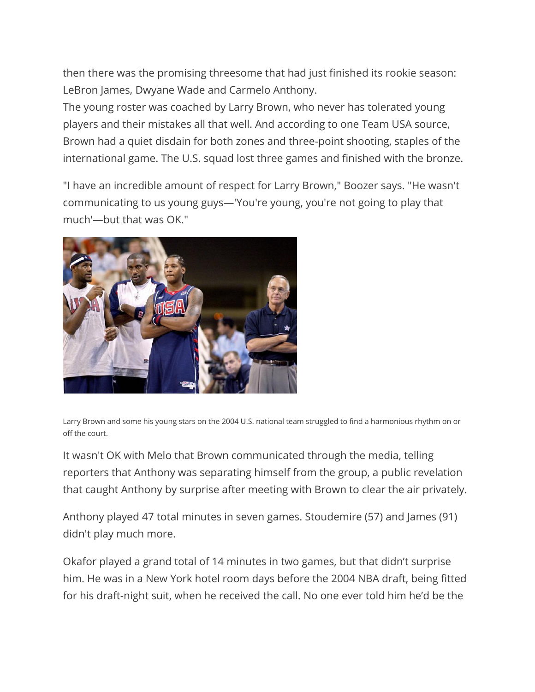then there was the promising threesome that had just finished its rookie season: LeBron James, Dwyane Wade and Carmelo Anthony.

The young roster was coached by Larry Brown, who never has tolerated young players and their mistakes all that well. And according to one Team USA source, Brown had a quiet disdain for both zones and three-point shooting, staples of the international game. The U.S. squad lost three games and finished with the bronze.

"I have an incredible amount of respect for Larry Brown," Boozer says. "He wasn't communicating to us young guys—'You're young, you're not going to play that much'—but that was OK."



Larry Brown and some his young stars on the 2004 U.S. national team struggled to find a harmonious rhythm on or off the court.

It wasn't OK with Melo that Brown communicated through the media, telling reporters that Anthony was separating himself from the group, a public revelation that caught Anthony by surprise after meeting with Brown to clear the air privately.

Anthony played 47 total minutes in seven games. Stoudemire (57) and James (91) didn't play much more.

Okafor played a grand total of 14 minutes in two games, but that didn't surprise him. He was in a New York hotel room days before the 2004 NBA draft, being fitted for his draft-night suit, when he received the call. No one ever told him he'd be the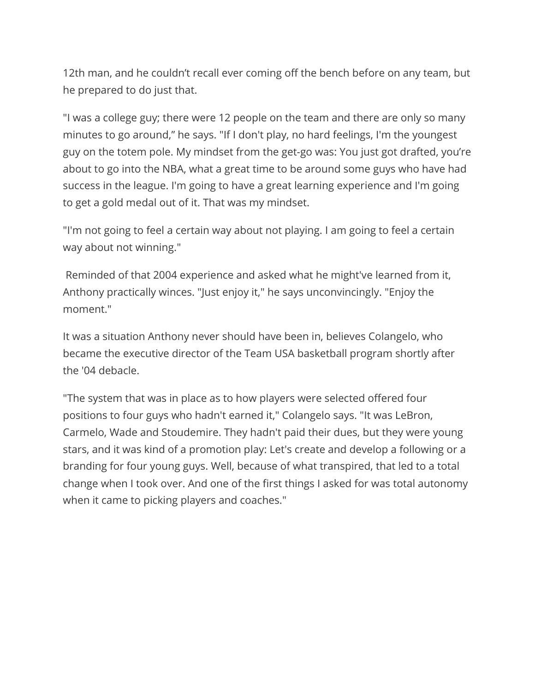12th man, and he couldn't recall ever coming off the bench before on any team, but he prepared to do just that.

"I was a college guy; there were 12 people on the team and there are only so many minutes to go around," he says. "If I don't play, no hard feelings, I'm the youngest guy on the totem pole. My mindset from the get-go was: You just got drafted, you're about to go into the NBA, what a great time to be around some guys who have had success in the league. I'm going to have a great learning experience and I'm going to get a gold medal out of it. That was my mindset.

"I'm not going to feel a certain way about not playing. I am going to feel a certain way about not winning."

Reminded of that 2004 experience and asked what he might've learned from it, Anthony practically winces. "Just enjoy it," he says unconvincingly. "Enjoy the moment."

It was a situation Anthony never should have been in, believes Colangelo, who became the executive director of the Team USA basketball program shortly after the '04 debacle.

"The system that was in place as to how players were selected offered four positions to four guys who hadn't earned it," Colangelo says. "It was LeBron, Carmelo, Wade and Stoudemire. They hadn't paid their dues, but they were young stars, and it was kind of a promotion play: Let's create and develop a following or a branding for four young guys. Well, because of what transpired, that led to a total change when I took over. And one of the first things I asked for was total autonomy when it came to picking players and coaches."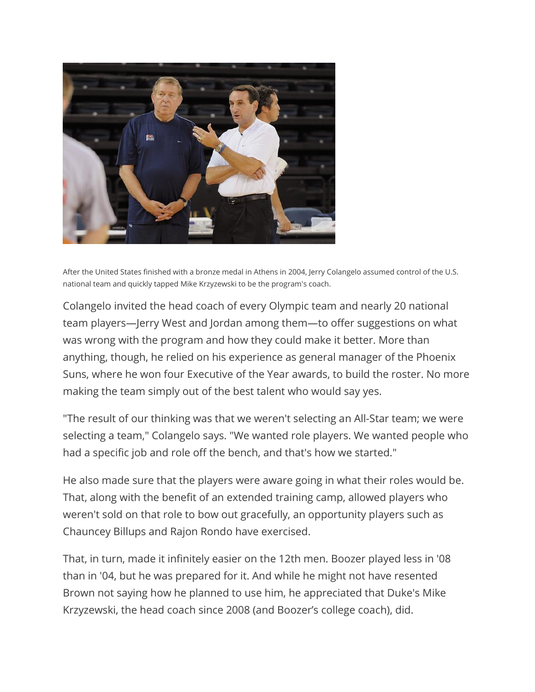

After the United States finished with a bronze medal in Athens in 2004, Jerry Colangelo assumed control of the U.S. national team and quickly tapped Mike Krzyzewski to be the program's coach.

Colangelo invited the head coach of every Olympic team and nearly 20 national team players—Jerry West and Jordan among them—to offer suggestions on what was wrong with the program and how they could make it better. More than anything, though, he relied on his experience as general manager of the Phoenix Suns, where he won four Executive of the Year awards, to build the roster. No more making the team simply out of the best talent who would say yes.

"The result of our thinking was that we weren't selecting an All-Star team; we were selecting a team," Colangelo says. "We wanted role players. We wanted people who had a specific job and role off the bench, and that's how we started."

He also made sure that the players were aware going in what their roles would be. That, along with the benefit of an extended training camp, allowed players who weren't sold on that role to bow out gracefully, an opportunity players such as Chauncey Billups and Rajon Rondo have exercised.

That, in turn, made it infinitely easier on the 12th men. Boozer played less in '08 than in '04, but he was prepared for it. And while he might not have resented Brown not saying how he planned to use him, he appreciated that Duke's Mike Krzyzewski, the head coach since 2008 (and Boozer's college coach), did.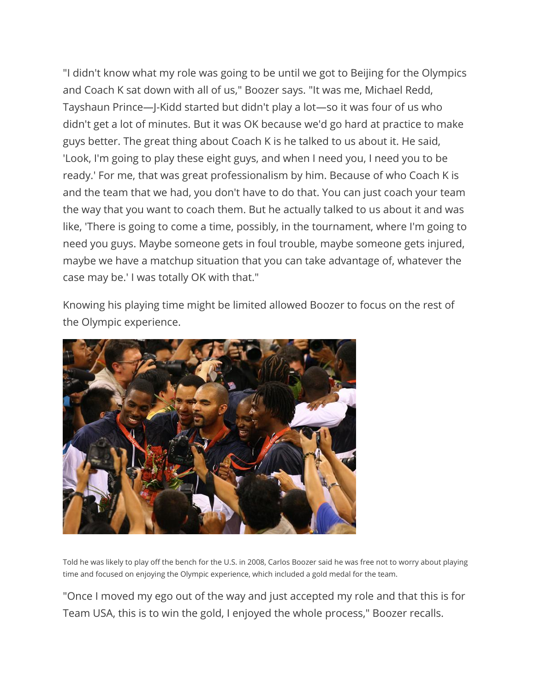"I didn't know what my role was going to be until we got to Beijing for the Olympics and Coach K sat down with all of us," Boozer says. "It was me, Michael Redd, Tayshaun Prince—J-Kidd started but didn't play a lot—so it was four of us who didn't get a lot of minutes. But it was OK because we'd go hard at practice to make guys better. The great thing about Coach K is he talked to us about it. He said, 'Look, I'm going to play these eight guys, and when I need you, I need you to be ready.' For me, that was great professionalism by him. Because of who Coach K is and the team that we had, you don't have to do that. You can just coach your team the way that you want to coach them. But he actually talked to us about it and was like, 'There is going to come a time, possibly, in the tournament, where I'm going to need you guys. Maybe someone gets in foul trouble, maybe someone gets injured, maybe we have a matchup situation that you can take advantage of, whatever the case may be.' I was totally OK with that."

Knowing his playing time might be limited allowed Boozer to focus on the rest of the Olympic experience.



Told he was likely to play off the bench for the U.S. in 2008, Carlos Boozer said he was free not to worry about playing time and focused on enjoying the Olympic experience, which included a gold medal for the team.

"Once I moved my ego out of the way and just accepted my role and that this is for Team USA, this is to win the gold, I enjoyed the whole process," Boozer recalls.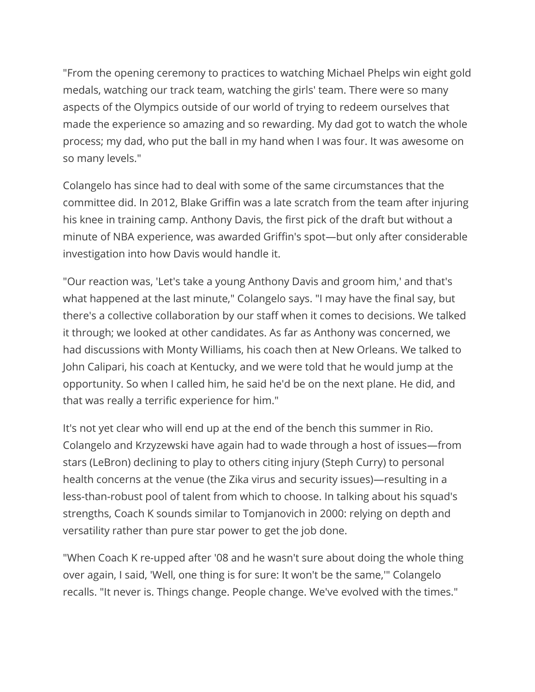"From the opening ceremony to practices to watching Michael Phelps win eight gold medals, watching our track team, watching the girls' team. There were so many aspects of the Olympics outside of our world of trying to redeem ourselves that made the experience so amazing and so rewarding. My dad got to watch the whole process; my dad, who put the ball in my hand when I was four. It was awesome on so many levels."

Colangelo has since had to deal with some of the same circumstances that the committee did. In 2012, Blake Griffin was a late scratch from the team after injuring his knee in training camp. Anthony Davis, the first pick of the draft but without a minute of NBA experience, was awarded Griffin's spot—but only after considerable investigation into how Davis would handle it.

"Our reaction was, 'Let's take a young Anthony Davis and groom him,' and that's what happened at the last minute," Colangelo says. "I may have the final say, but there's a collective collaboration by our staff when it comes to decisions. We talked it through; we looked at other candidates. As far as Anthony was concerned, we had discussions with Monty Williams, his coach then at New Orleans. We talked to John Calipari, his coach at Kentucky, and we were told that he would jump at the opportunity. So when I called him, he said he'd be on the next plane. He did, and that was really a terrific experience for him."

It's not yet clear who will end up at the end of the bench this summer in Rio. Colangelo and Krzyzewski have again had to wade through a host of issues—from stars (LeBron) declining to play to others citing injury (Steph Curry) to personal health concerns at the venue (the Zika virus and security issues)—resulting in a less-than-robust pool of talent from which to choose. In talking about his squad's strengths, Coach K sounds similar to Tomjanovich in 2000: relying on depth and versatility rather than pure star power to get the job done.

"When Coach K re-upped after '08 and he wasn't sure about doing the whole thing over again, I said, 'Well, one thing is for sure: It won't be the same,'" Colangelo recalls. "It never is. Things change. People change. We've evolved with the times."